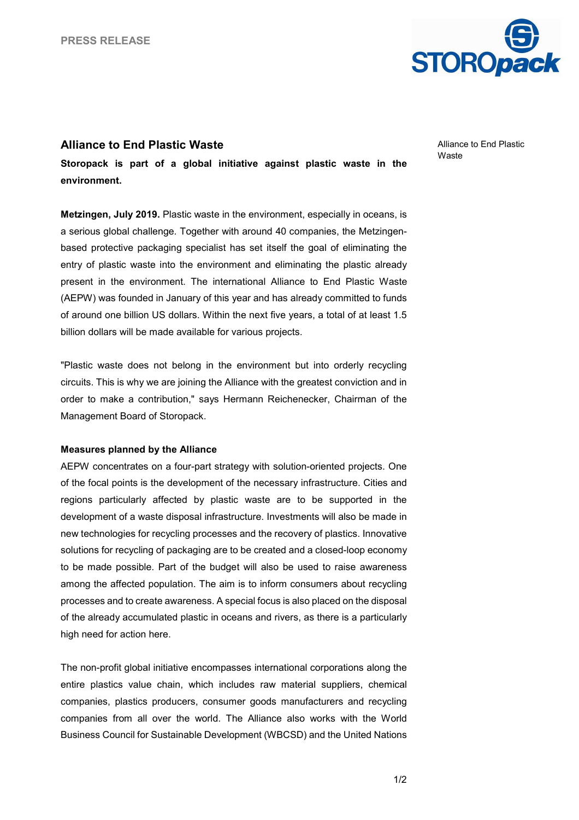

## **Alliance to End Plastic Waste**

**Storopack is part of a global initiative against plastic waste in the environment.** 

**Metzingen, July 2019.** Plastic waste in the environment, especially in oceans, is a serious global challenge. Together with around 40 companies, the Metzingenbased protective packaging specialist has set itself the goal of eliminating the entry of plastic waste into the environment and eliminating the plastic already present in the environment. The international Alliance to End Plastic Waste (AEPW) was founded in January of this year and has already committed to funds of around one billion US dollars. Within the next five years, a total of at least 1.5 billion dollars will be made available for various projects.

"Plastic waste does not belong in the environment but into orderly recycling circuits. This is why we are joining the Alliance with the greatest conviction and in order to make a contribution," says Hermann Reichenecker, Chairman of the Management Board of Storopack.

## **Measures planned by the Alliance**

AEPW concentrates on a four-part strategy with solution-oriented projects. One of the focal points is the development of the necessary infrastructure. Cities and regions particularly affected by plastic waste are to be supported in the development of a waste disposal infrastructure. Investments will also be made in new technologies for recycling processes and the recovery of plastics. Innovative solutions for recycling of packaging are to be created and a closed-loop economy to be made possible. Part of the budget will also be used to raise awareness among the affected population. The aim is to inform consumers about recycling processes and to create awareness. A special focus is also placed on the disposal of the already accumulated plastic in oceans and rivers, as there is a particularly high need for action here.

The non-profit global initiative encompasses international corporations along the entire plastics value chain, which includes raw material suppliers, chemical companies, plastics producers, consumer goods manufacturers and recycling companies from all over the world. The Alliance also works with the World Business Council for Sustainable Development (WBCSD) and the United Nations Alliance to End Plastic **Waste**